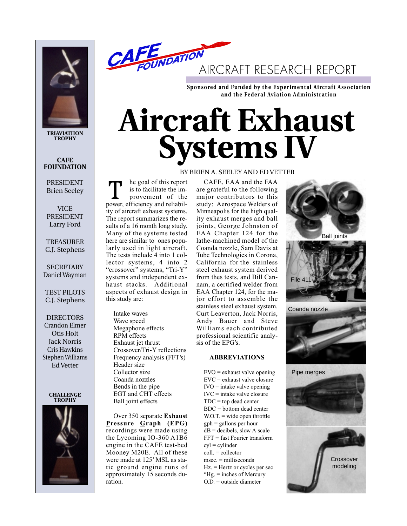

**TRIAVIATHON TROPHY**

**CAFE FOUNDATION** 

PRESIDENT Brien Seeley

VICE PRESIDENT Larry Ford

TREASURER C.J. Stephens

**SECRETARY** Daniel Wayman

TEST PILOTS C.J. Stephens

DIRECTORS Crandon Elmer Otis Holt Jack Norris Cris Hawkins Stephen Williams Ed Vetter

#### **CHALLENGE TROPHY**





**Sponsored and Funded by the Experimental Aircraft Association and the Federal Aviation Administration**

# **Aircraft Exhaust Systems IV**

he goal of this report is to facilitate the improvement of the Ine goal of this report<br>is to facilitate the im-<br>provement of the<br>power, efficiency and reliability of aircraft exhaust systems. The report summarizes the results of a 16 month long study. Many of the systems tested here are similar to ones popularly used in light aircraft. The tests include 4 into 1 collector systems, 4 into 2 "crossover" systems, "Tri-Y" systems and independent exhaust stacks. Additional aspects of exhaust design in this study are:

Intake waves Wave speed Megaphone effects RPM effects Exhaust jet thrust Crossover/Tri-Y reflections Frequency analysis (FFT's) Header size Collector size Coanda nozzles Bends in the pipe EGT and CHT effects Ball joint effects

Over 350 separate **Exhaust Pressure Graph (EPG)** recordings were made using the Lycoming IO-360 A1B6 engine in the CAFE test-bed Mooney M20E. All of these were made at 125' MSL as static ground engine runs of approximately 15 seconds duration.

# BY BRIEN A. SEELEY AND ED VETTER

CAFE, EAA and the FAA are grateful to the following major contributors to this study: Aerospace Welders of Minneapolis for the high quality exhaust merges and ball joints, George Johnston of EAA Chapter 124 for the lathe-machined model of the Coanda nozzle, Sam Davis at Tube Technologies in Corona, California for the stainless steel exhaust system derived from thes tests, and Bill Cannam, a certified welder from EAA Chapter 124, for the major effort to assemble the stainless steel exhaust system. Curt Leaverton, Jack Norris, Andy Bauer and Steve Williams each contributed professional scientific analysis of the EPG's.

# **ABBREVIATIONS**

EVO = exhaust valve opening EVC = exhaust valve closure  $\text{IVO} = \text{intake value opening}$ IVC = intake valve closure  $TDC = top dead center$ BDC = bottom dead center  $W.O.T.$  = wide open throttle gph = gallons per hour  $dB =$  decibels, slow A scale FFT = fast Fourier transform cyl = cylinder coll. = collector msec. = milliseconds Hz. = Hertz or cycles per sec "Hg. = inches of Mercury O.D. = outside diameter

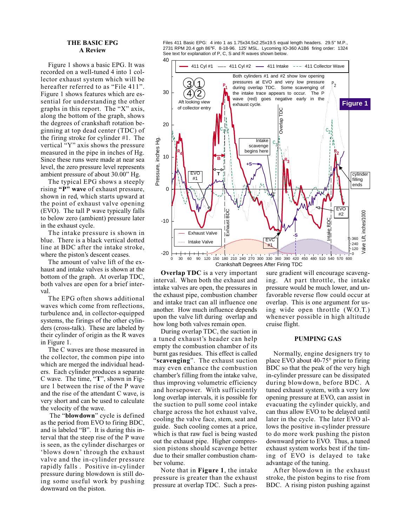### **THE BASIC EPG A Review**

Figure 1 shows a basic EPG. It was recorded on a well-tuned 4 into 1 collector exhaust system which will be hereafter referred to as "File 411". Figure 1 shows features which are essential for understanding the other graphs in this report. The "X" axis, along the bottom of the graph, shows the degrees of crankshaft rotation beginning at top dead center (TDC) of the firing stroke for cylinder #1. The vertical "Y" axis shows the pressure measured in the pipe in inches of Hg. Since these runs were made at near sea level, the zero pressure level represents ambient pressure of about 30.00" Hg.

The typical EPG shows a steeply rising **"P" wave** of exhaust pressure, shown in red, which starts upward at the point of exhaust valve opening (EVO). The tall P wave typically falls to below zero (ambient) pressure later in the exhaust cycle.

The intake pressure is shown in blue. There is a black vertical dotted line at BDC after the intake stroke, where the piston's descent ceases.

The amount of valve lift of the exhaust and intake valves is shown at the bottom of the graph. At overlap TDC, both valves are open for a brief interval.

The EPG often shows additional waves which come from reflections, turbulence and, in collector-equipped systems, the firings of the other cylinders (cross-talk). These are labeled by their cylinder of origin as the R waves in Figure 1.

The C waves are those measured in the collector, the common pipe into which are merged the individual headers. Each cylinder produces a separate C wave. The time, "**T**", shown in Figure 1 between the rise of the P wave and the rise of the attendant C wave, is very short and can be used to calculate the velocity of the wave.

The "**blowdown**" cycle is defined as the period from EVO to firing BDC, and is labeled "B". It is during this interval that the steep rise of the P wave is seen, as the cylinder discharges or 'blows down' through the exhaust valve and the in-cylinder pressure rapidly falls . Positive in-cylinder pressure during blowdown is still doing some useful work by pushing downward on the piston.

Files 411 Basic EPG: 4 into 1 as 1.75x34.5x2.25x19.5 equal length headers. 29.5" M.P. 2731 RPM 20.4 gph 86°F. 8-18-96. 125' MSL. Lycoming IO-360 A1B6 firing order: 1324 See text for explanation of P, C, S and R waves shown below.



**Overlap TDC** is a very important interval. When both the exhaust and intake valves are open, the pressures in the exhaust pipe, combustion chamber and intake tract can all influence one another. How much influence depends upon the valve lift during overlap and how long both valves remain open.

During overlap TDC, the suction in a tuned exhaust's header can help empty the combustion chamber of its burnt gas residues. This effect is called "**scavenging**". The exhaust suction may even enhance the combustion chamber's filling from the intake valve, thus improving volumetric efficiency and horsepower. With sufficiently long overlap intervals, it is possible for the suction to pull some cool intake charge across the hot exhaust valve, cooling the valve face, stem, seat and guide. Such cooling comes at a price, which is that raw fuel is being wasted out the exhaust pipe. Higher compression pistons should scavenge better due to their smaller combustion chamber volume.

Note that in **Figure 1**, the intake pressure is greater than the exhaust pressure at overlap TDC. Such a pressure gradient will encourage scavenging. At part throttle, the intake pressure would be much lower, and unfavorable reverse flow could occur at overlap. This is one argument for using wide open throttle (W.O.T.) whenever possible in high altitude cruise flight.

## **PUMPING GAS**

Normally, engine designers try to place EVO about 40-75° prior to firing BDC so that the peak of the very high in-cylinder pressure can be dissipated during blowdown, before BDC. A tuned exhaust system, with a very low opening pressure at EVO, can assist in evacuating the cylinder quickly, and can thus allow EVO to be delayed until later in the cycle. The later EVO allows the positive in-cylinder pressure to do more work pushing the piston downward prior to EVO. Thus, a tuned exhaust system works best if the timing of EVO is delayed to take advantage of the tuning.

After blowdown in the exhaust stroke, the piston begins to rise from BDC. A rising piston pushing against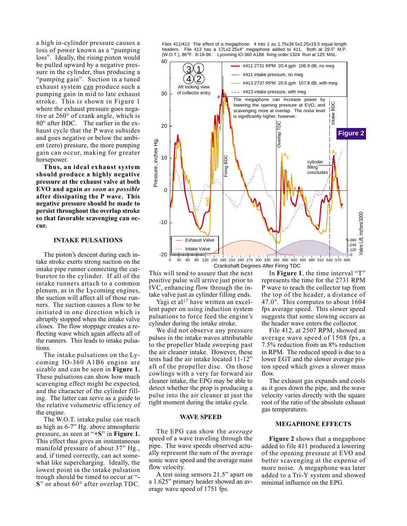a high in-cylinder pressure causes a loss of power known as a "pumping loss". Ideally, the rising piston would be pulled upward by a negative pressure in the cylinder, thus producing a "pumping gain". Suction in a tuned exhaust system can produce such a pumping gain in mid to late exhaust stroke. This is shown in Figure 1 where the exhaust pressure goes negative at 260° of crank angle, which is 80° after BDC. The earlier in the exhaust cycle that the P wave subsides and goes negative or below the ambient (zero) pressure, the more pumping gain can occur, making for greater horsepower.

**Thus, an ideal exhaust system should produce a highly negative pressure at the exhaust valve at both EVO and again** *as soon as possible* **after dissipating the P wave. This negative pressure should be made to persist throughout the overlap stroke so that favorable scavenging can occur.**

## **INTAKE PULSATIONS**

The piston's descent during each intake stroke exerts strong suction on the intake pipe runner connecting the carburetor to the cylinder. If all of the intake runners attach to a common plenum, as in the Lycoming engines, the suction will affect all of those runners. The suction causes a flow to be initiated in one direction which is abruptly stopped when the intake valve closes. The flow stoppage creates a reflecting wave which again affects all of the runners. This leads to intake pulsations.

The intake pulsations on the Lycoming IO-360 A1B6 engine are sizable and can be seen in **Figure 1.** These pulsations can show how much scavenging effect might be expected, and the character of the cylinder filling. The latter can serve as a guide to the relative volumetric efficiency of the engine.

The W.O.T. intake pulse can reach as high as 6-7" Hg. above atmospheric pressure, as seen at "**+S**" in **Figure 1.** This effect thus gives an instantaneous manifold pressure of about 37" Hg., and, if timed correctly, can act somewhat like supercharging. Ideally, the lowest point in the intake pulsation trough should be timed to occur at "**- S**" or about 60° after overlap TDC.

Files 411/413 The effect of a megaphone: 4 into 1 as 1.75x34.5x2.25x19.5 equal length headers. File 413 has a 17Lx2.25x4" megaphone added to 411. Both at 29.5" M.P. (W.O.T.), 86°F. 8-18-96. Lycoming IO-360 A1B6 firing order:1324 Run at 125' MSL.



This will tend to assure that the next positive pulse will arrive just prior to IVC, enhancing flow through the intake valve just as cylinder filling ends.

Yagi et al<sup>17</sup> have written an excellent paper on using induction system pulsations to force feed the engine's cylinder during the intake stroke.

We did not observe any pressure pulses in the intake waves attributable to the propeller blade sweeping past the air cleaner intake. However, these tests had the air intake located 11-12" aft of the propeller disc. On those cowlings with a very far forward air cleaner intake, the EPG may be able to detect whether the prop is producing a pulse into the air cleaner at just the right moment during the intake cycle.

## **WAVE SPEED**

The EPG can show the *average* speed of a wave traveling through the pipe. The wave speeds observed actually represent the sum of the average sonic wave speed and the average mass flow velocity.

A test using sensors 21.5" apart on a 1.625" primary header showed an average wave speed of 1751 fps.

In **Figure 1**, the time interval "T" represents the time for the 2731 RPM P wave to reach the collector tap from the top of the header, a distance of 47.0". This computes to about 1604 fps average speed. This slower speed suggests that some slowing occurs as the header wave enters the collector.

File 412, at 2507 RPM, showed an average wave speed of 1508 fps, a 7.5% reduction from an 8% reduction in RPM. The reduced speed is due to a lower EGT and the slower average piston speed which gives a slower mass flow.

The exhaust gas expands and cools as it goes down the pipe, and the wave velocity varies directly with the square root of the ratio of the absolute exhaust gas temperatures.

## **MEGAPHONE EFFECTS**

**Figure 2** shows that a megaphone added to file 411 produced a lowering of the opening pressure at EVO and better scavenging at the expense of more noise. A megaphone was later added to a Tri-Y system and showed minimal influence on the EPG.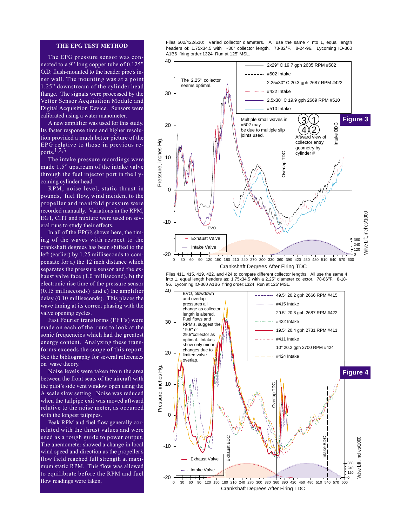## **THE EPG TEST METHOD**

The EPG pressure sensor was connected to a 9" long copper tube of 0.125" O.D. flush-mounted to the header pipe's inner wall. The mounting was at a point 1.25" downstream of the cylinder head flange. The signals were processed by the Vetter Sensor Acquisition Module and Digital Acquisition Device. Sensors were calibrated using a water manometer.

A new amplifier was used for this study. Its faster response time and higher resolution provided a much better picture of the EPG relative to those in previous reports.1,2,3

The intake pressure recordings were made 1.5" upstream of the intake valve through the fuel injector port in the Lycoming cylinder head.

RPM, noise level, static thrust in pounds, fuel flow, wind incident to the propeller and manifold pressure were recorded manually. Variations in the RPM, EGT, CHT and mixture were used on several runs to study their effects.

In all of the EPG's shown here, the timing of the waves with respect to the crankshaft degrees has been shifted to the left (earlier) by 1.25 milliseconds to compensate for a) the 12 inch distance which separates the pressure sensor and the exhaust valve face (1.0 millisecond), b) the electronic rise time of the pressure sensor (0.15 milliseconds) and c) the amplifier delay (0.10 milliseconds). This places the wave timing at its correct phasing with the valve opening cycles.

Fast Fourier transforms (FFT's) were made on each of the runs to look at the sonic frequencies which had the greatest energy content. Analyzing these transforms exceeds the scope of this report. See the bibliography for several references on wave theory.

Noise levels were taken from the area between the front seats of the aircraft with the pilot's side vent window open using the A scale slow setting. Noise was reduced when the tailpipe exit was moved aftward relative to the noise meter, as occurred with the longest tailpipes.

Peak RPM and fuel flow generally correlated with the thrust values and were used as a rough guide to power output. The anemometer showed a change in local wind speed and direction as the propeller's flow field reached full strength at maximum static RPM. This flow was allowed to equilibrate before the RPM and fuel flow readings were taken.

Files 502/422/510: Varied collector diameters. All use the same 4 nto 1, equal length headers of: 1.75x34.5 with ~30" collector length. 73-82°F. 8-24-96. Lycoming IO-360 A1B6 firing order:1324 Run at 125' MSL.



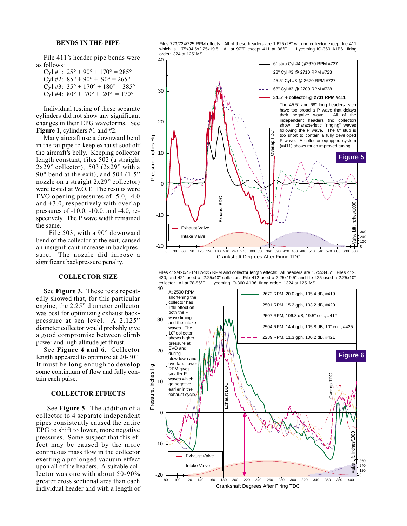## **BENDS IN THE PIPE**

File 411's header pipe bends were as follows:

Cyl #1:  $25^{\circ} + 90^{\circ} + 170^{\circ} = 285^{\circ}$ Cyl #2:  $85^{\circ} + 90^{\circ} + 90^{\circ} = 265^{\circ}$ Cyl #3:  $35^{\circ} + 170^{\circ} + 180^{\circ} = 385^{\circ}$ Cyl #4:  $80^{\circ}$  +  $70^{\circ}$  +  $20^{\circ}$  = 170°

Individual testing of these separate cylinders did not show any significant changes in their EPG waveforms. See **Figure 1**, cylinders #1 and #2.

Many aircraft use a downward bend in the tailpipe to keep exhaust soot off the aircraft's belly. Keeping collector length constant, files 502 (a straight  $2x29"$  collector), 503 ( $2x29"$  with a  $90^\circ$  bend at the exit), and 504 (1.5" nozzle on a straight 2x29" collector) were tested at W.O.T. The results were EVO opening pressures of -5.0, -4.0 and +3.0, respectively with overlap pressures of -10.0, -10.0, and -4.0, respectively. The P wave width remained the same.

File 503, with a 90° downward bend of the collector at the exit, caused an insignificant increase in backpressure. The nozzle did impose a significant backpressure penalty.

#### **COLLECTOR SIZE**

See **Figure 3.** These tests repeatedly showed that, for this particular engine, the 2.25" diameter collector was best for optimizing exhaust backpressure at sea level. A 2.125" diameter collector would probably give a good compromise between climb power and high altitude jet thrust.

See **Figure 4 and 6**. Collector length appeared to optimize at 20-30". It must be long enough to develop some continuum of flow and fully contain each pulse.

# **COLLECTOR EFFECTS**

See **Figure 5**. The addition of a collector to 4 separate independent pipes consistently caused the entire EPG to shift to lower, more negative pressures. Some suspect that this effect may be caused by the more continuous mass flow in the collector exerting a prolonged vacuum effect upon all of the headers. A suitable collector was one with about 50-90% greater cross sectional area than each individual header and with a length of

Files 723/724/725 RPM effects: All of these headers are 1.625x28" with no collector except file 411<br>which is 1.75x34.5x2.25x19.5. All at 97°F except 411 at 86°F. Lycoming IO-360 A1B6 firing which is 1.75x34.5x2.25x19.5. All at 97°F except 411 at 86°F. order:1324 at 125' MSL..



Files 419/420/421/412/425 RPM and collector length effects: All headers are 1.75x34.5". Files 419, 420, and 421 used a 2.25x40" collector. File 412 used a 2.25x19.5" and file 425 used a 2.25x10" collector. All at 78-86°F. Lycoming IO-360 A1B6 firing order: 1324 at 125' MSL..

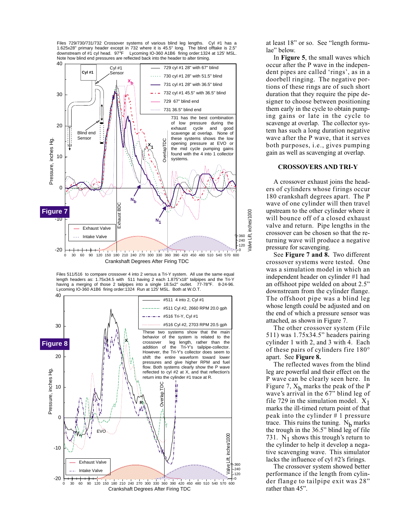Files 729/730/731/732 Crossover systems of various blind leg lengths. Cyl #1 has a 1.625x28" primary header except in 732 where it is 45.5" long. The blind offtake is 2.5" downstream of #1 cyl head. 97°F Lycoming IO-360 A1B6 firing order:1324 at 125' MSL. Note how blind end pressures are reflected back into the header to alter timing.



Files 511/516 to compare crossover 4 into 2 versus a Tri-Y system. All use the same equal length headers as:  $1.75x34.5$  with  $511$  having 2 each  $1.875''x18''$  tailpipes and the Tri-Y having a merging of those 2 tailpipes into a single  $18.5x2''$  outlet.  $77-78°$ F.  $8-24.96$ . having a merging of those 2 tailpipes into a single 18.5x2" outlet. Lycoming IO-360 A1B6 firing order:1324 Run at 125' MSL. Both at W.O.T.



at least 18" or so. See "length formulae" below.

In **Figure 5**, the small waves which occur after the P wave in the independent pipes are called 'rings', as in a doorbell ringing. The negative portions of these rings are of such short duration that they require the pipe designer to choose between positioning them early in the cycle to obtain pumping gains or late in the cycle to scavenge at overlap. The collector system has such a long duration negative wave after the P wave, that it serves both purposes, i.e., gives pumping gain as well as scavenging at overlap.

## **CROSSOVERS AND TRI-Y**

A crossover exhaust joins the headers of cylinders whose firings occur 180 crankshaft degrees apart. The P wave of one cylinder will then travel upstream to the other cylinder where it will bounce off of a closed exhaust valve and return. Pipe lengths in the crossover can be chosen so that the returning wave will produce a negative pressure for scavenging.

See **Figure 7 and 8.** Two different crossover systems were tested. One was a simulation model in which an independent header on cylinder #1 had an offshoot pipe welded on about 2.5" downstream from the cylinder flange. The offshoot pipe was a blind leg whose length could be adjusted and on the end of which a pressure sensor was attached, as shown in Figure 7.

The other crossover system (File 511) was 1.75x34.5" headers pairing cylinder 1 with 2, and 3 with 4. Each of these pairs of cylinders fire 180° apart. See **Figure 8.**

The reflected waves from the blind leg are powerful and their effect on the P wave can be clearly seen here. In Figure 7,  $X<sub>b</sub>$  marks the peak of the P wave's arrival in the 67" blind leg of file 729 in the simulation model.  $X_1$ marks the ill-timed return point of that peak into the cylinder # 1 pressure trace. This ruins the tuning.  $N_b$  marks the trough in the 36.5" blind leg of file 731. N<sub>1</sub> shows this trough's return to the cylinder to help it develop a negative scavenging wave. This simulator lacks the influence of cyl #2's firings.

The crossover system showed better performance if the length from cylinder flange to tailpipe exit was 28" rather than 45".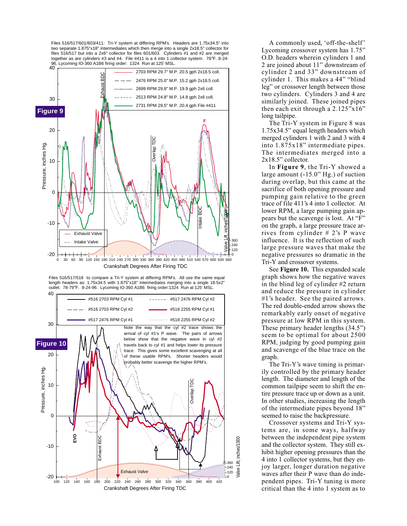Files 516/517/601/603/411: Tri-Y system at differing RPM's. Headers are 1.75x34.5" into two separate 1.875"x18" intermediates which then merge into a single 2x18.5" collector for files 516/517 but into a 2x6" collector for files 601/603. Cylinders #1 and #2 are merged together as are cylinders #3 and #4. File #411 is a 4 into 1 collector system. 78°F. 8-24- 96. Lycoming IO-360 A1B6 firing order: 1324 Run at 125' MSL.



Files 516/517/518 to compare a Tri-Y system at differing RPM's. All use the same equal length headers as: 1.75x34.5 with 1.875"x18" intermediates merging into a single 18.5x2" outlet. 78-79°F. 8-24-96. Lycoming IO-360 A1B6 firing order:1324 Run at 125' MSL.



A commonly used, 'off-the-shelf ' Lycoming crossover system has 1.75" O.D. headers wherein cylinders 1 and 2 are joined about 11" downstream of cylinder 2 and 33" downstream of cylinder 1. This makes a 44" "blind leg" or crossover length between those two cylinders. Cylinders 3 and 4 are similarly joined. These joined pipes then each exit through a 2.125"x16" long tailpipe.

The Tri-Y system in Figure 8 was 1.75x34.5" equal length headers which merged cylinders 1 with 2 and 3 with 4 into 1.875x18" intermediate pipes. The intermediates merged into a 2x18.5" collector.

In **Figure 9**, the Tri-Y showed a large amount (-15.0" Hg.) of suction during overlap, but this came at the sacrifice of both opening pressure and pumping gain relative to the green trace of file 411's 4 into 1 collector. At lower RPM, a large pumping gain appears but the scavenge is lost. At "F" on the graph, a large pressure trace arrives from cylinder # 2's P wave influence. It is the reflection of such large pressure waves that make the negative pressures so dramatic in the Tri-Y and crossover systems.

See **Figure 10.** This expanded scale graph shows how the negative waves in the blind leg of cylinder #2 return and reduce the pressure in cylinder #1's header. See the paired arrows. The red double-ended arrow shows the remarkably early onset of negative pressure at low RPM in this system. These primary header lengths (34.5") seem to be optimal for about 2500 RPM, judging by good pumping gain and scavenge of the blue trace on the graph.

The Tri-Y's wave timing is primarily controlled by the primary header length. The diameter and length of the common tailpipe seem to shift the entire pressure trace up or down as a unit. In other studies, increasing the length of the intermediate pipes beyond 18" seemed to raise the backpressure.

Crossover systems and Tri-Y systems are, in some ways, halfway between the independent pipe system and the collector system. They still exhibit higher opening pressures than the 4 into 1 collector systems, but they enjoy larger, longer duration negative waves after their P wave than do independent pipes. Tri-Y tuning is more critical than the 4 into 1 system as to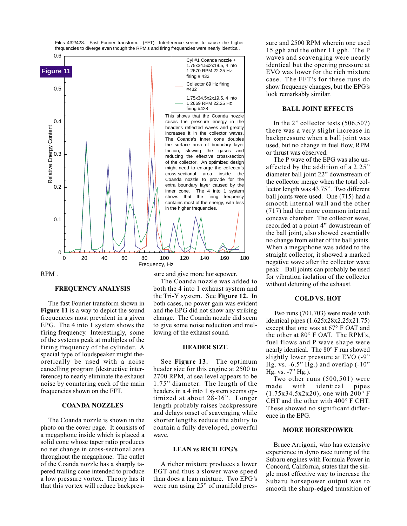

RPM .

#### **FREQUENCY ANALYSIS**

The fast Fourier transform shown in **Figure 11** is a way to depict the sound frequencies most prevalent in a given EPG. The 4 into 1 system shows the firing frequency. Interestingly, some of the systems peak at multiples of the firing frequency of the cylinder. A special type of loudspeaker might theoretically be used with a noise cancelling program (destructive interference) to nearly eliminate the exhaust noise by countering each of the main frequencies shown on the FFT.

## **COANDA NOZZLES**

The Coanda nozzle is shown in the photo on the cover page. It consists of a megaphone inside which is placed a solid cone whose taper ratio produces no net change in cross-sectional area throughout the megaphone. The outlet of the Coanda nozzle has a sharply tapered trailing cone intended to produce a low pressure vortex. Theory has it that this vortex will reduce backpressure and give more horsepower.

The Coanda nozzle was added to both the 4 into 1 exhaust system and the Tri-Y system. See **Figure 12.** In both cases, no power gain was evident and the EPG did not show any striking change. The Coanda nozzle did seem to give some noise reduction and mellowing of the exhaust sound.

#### **HEADER SIZE**

See **Figure 13.** The optimum header size for this engine at 2500 to 2700 RPM, at sea level appears to be 1.75" diameter. The length of the headers in a 4 into 1 system seems optimized at about 28-36". Longer length probably raises backpressure and delays onset of scavenging while shorter lengths reduce the ability to contain a fully developed, powerful wave.

## **LEAN vs RICH EPG's**

A richer mixture produces a lower EGT and thus a slower wave speed than does a lean mixture. Two EPG's were run using 25" of manifold pressure and 2500 RPM wherein one used 15 gph and the other 11 gph. The P waves and scavenging were nearly identical but the opening pressure at EVO was lower for the rich mixture case. The FFT's for these runs do show frequency changes, but the EPG's look remarkably similar.

## **BALL JOINT EFFECTS**

In the 2" collector tests (506,507) there was a very slight increase in backpressure when a ball joint was used, but no change in fuel flow, RPM or thrust was observed.

The P wave of the EPG was also unaffected by the addition of a 2.25" diameter ball joint 22" downstream of the collector merge when the total collector length was 43.75". Two different ball joints were used. One (715) had a smooth internal wall and the other (717) had the more common internal concave chamber. The collector wave, recorded at a point 4" downstream of the ball joint, also showed essentially no change from either of the ball joints. When a megaphone was added to the straight collector, it showed a marked negative wave after the collector wave peak . Ball joints can probably be used for vibration isolation of the collector without detuning of the exhaust.

#### **COLD VS. HOT**

Two runs (701,703) were made with identical pipes (1.625x28x2.25x21.75) except that one was at 67° F OAT and the other at 80° F OAT. The RPM's, fuel flows and P wave shape were nearly identical. The 80° F run showed slightly lower pressure at EVO (-9" Hg. vs.  $-6.5"$  Hg.) and overlap  $(-10"$ Hg. vs. -7" Hg.).

Two other runs (500,501) were<br>ade with identical pipes made with identical (1.75x34.5x2x20), one with 200° F CHT and the other with 400° F CHT. These showed no significant difference in the EPG.

### **MORE HORSEPOWER**

Bruce Arrigoni, who has extensive experience in dyno race tuning of the Subaru engines with Formula Power in Concord, California, states that the single most effective way to increase the Subaru horsepower output was to smooth the sharp-edged transition of

Files 432/428. Fast Fourier transform. (FFT) Interference seems to cause the higher frequencies to diverge even though the RPM's and firing frequencies were nearly identical.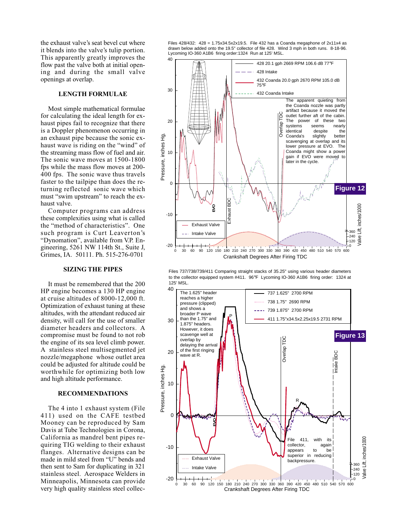the exhaust valve's seat bevel cut where it blends into the valve's tulip portion. This apparently greatly improves the flow past the valve both at initial opening and during the small valve openings at overlap.

## **LENGTH FORMULAE**

Most simple mathematical formulae for calculating the ideal length for exhaust pipes fail to recognize that there is a Doppler phenomenon occurring in an exhaust pipe because the sonic exhaust wave is riding on the "wind" of the streaming mass flow of fuel and air. The sonic wave moves at 1500-1800 fps while the mass flow moves at 200- 400 fps. The sonic wave thus travels faster to the tailpipe than does the returning reflected sonic wave which must "swim upstream" to reach the exhaust valve.

Computer programs can address these complexities using what is called the "method of characteristics". One such program is Curt Leaverton's "Dynomation", available from V.P. Engineering, 5261 NW 114th St., Suite J, Grimes, IA. 50111. Ph. 515-276-0701

#### **SIZING THE PIPES**

It must be remembered that the 200 HP engine becomes a 130 HP engine at cruise altitudes of 8000-12,000 ft. Optimization of exhaust tuning at these altitudes, with the attendant reduced air density, will call for the use of smaller diameter headers and collectors. A compromise must be found to not rob the engine of its sea level climb power. A stainless steel multisegmented jet nozzle/megaphone whose outlet area could be adjusted for altitude could be worthwhile for optimizing both low and high altitude performance.

## **RECOMMENDATIONS**

The 4 into 1 exhaust system (File 411) used on the CAFE testbed Mooney can be reproduced by Sam Davis at Tube Technologies in Corona, California as mandrel bent pipes requiring TIG welding to their exhaust flanges. Alternative designs can be made in mild steel from "U" bends and then sent to Sam for duplicating in 321 stainless steel. Aerospace Welders in Minneapolis, Minnesota can provide very high quality stainless steel collecFiles 428/432: 428 = 1.75x34.5x2x19.5. File 432 has a Coanda megaphone of 2x11x4 as drawn below added onto the 19.5" collector of file 428. Wind 3 mph in both runs. 8-18-96. Lycoming IO-360 A1B6 firing order:1324 Run at 125' MSL.





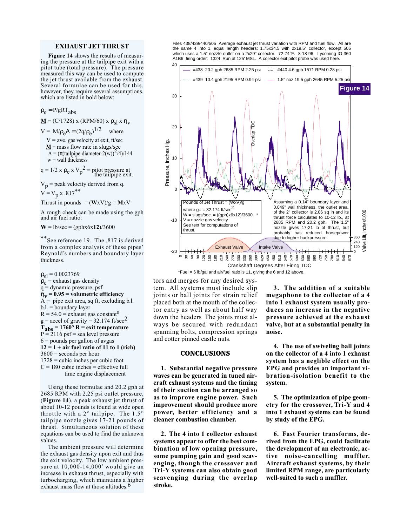#### **EXHAUST JET THRUST**

**Figure 14** shows the results of measuring the pressure at the tailpipe exit with a pitot tube (total pressure). The pressure measured this way can be used to compute the jet thrust available from the exhaust. Several formulae can be used for this, however, they require several assumptions, which are listed in bold below:

 $\rho_e = P/gRT_{abs}$ 

**M** = (C/1728) x (RPM/60) x  $ρ_{s}$ <sub>N</sub> x η<sub>V</sub>

 $V = M/\rho_e A = (2q/\rho_e)^{1/2}$  where

 $V =$  ave. gas velocity at exit, ft/sec  $M$  = mass flow rate in slugs/sec

A =  $(\pi(\text{tailpipe diameter-2(w)})^2/4)/144$  $w =$  wall thickness

q = 1/2 x  $\rho_e$  x V<sub>p</sub><sup>2</sup> = pitot pressure at the tailpipe exit.

 $V_p$  = peak velocity derived from q.  $V = V_p x .817$ \*\*

Thrust in pounds  $= (\underline{W}xV)/g = \underline{M}xV$ 

A rough check can be made using the gph and air fuel ratio:

 $\underline{W}$  = lb/sec = (gphx6x**12**)/3600

\*\*See reference 19. The .817 is derived from a complex analysis of these pipes' Reynold's numbers and boundary layer thickness.

 $\rho_{\rm sl} = 0.0023769$  $\rho_e$  = exhaust gas density<br>q = dynamic pressure, psf  $\eta_V$  = 0.95 = volumetric efficiency<br>A = pipe exit area, sq ft, excluding pipe exit area, sq ft, excluding b.l.  $b.l. = \overrightarrow{b}$  boundary layer  $R = 54.0 =$  exhaust gas constant<sup>8</sup>  $g =$  accel of gravity = 32.174 ft/sec<sup>2</sup> **Tabs = 1760° R = exit temperature**  $P = 2116$  psf = sea level pressure  $6$  = pounds per gallon of avgas **12 = 1 + air fuel ratio of 11 to 1 (rich)**  $3600$  = seconds per hour 1728 = cubic inches per cubic foot  $C = 180$  cubic inches = effective full time engine displacement

Using these formulae and 20.2 gph at 2685 RPM with 2.25 psi outlet pressure, (**Figure 14**), a peak exhaust jet thrust of about 10-12 pounds is found at wide open throttle with a 2" tailpipe. The 1.5" tailpipe nozzle gives 17-21 pounds of thrust. Simultaneous solution of these equations can be used to find the unknown values.

The ambient pressure will determine the exhaust gas density upon exit and thus the exit velocity. The low ambient pressure at 10,000-14,000' would give an increase in exhaust thrust, especially with turbocharging, which maintains a higher exhaust mass flow at those altitudes.<sup>6</sup>

Files 438/439/440/505 Average exhaust jet thrust variation with RPM and fuel flow. All are the same 4 into 1, equal length headers: 1.75x34.5 with 2x19.5" collector, except 505 which uses a 1.5" nozzle outlet on a 2x29" collector. 72-74°F. 8-18-96. Lycoming IO-360 A1B6 firing order: 1324 Run at 125' MSL. A collector exit pitot probe was used here.



\*Fuel = 6 lb/gal and air/fuel ratio is 11, giving the 6 and 12 above.

tors and merges for any desired system. All systems must include slip joints or ball joints for strain relief placed both at the mouth of the collector entry as well as about half way down the headers The joints must always be secured with redundant spanning bolts, compression springs and cotter pinned castle nuts.

#### **CONCLUSIONS**

**1. Substantial negative pressure waves can be generated in tuned aircraft exhaust systems and the timing of their suction can be arranged so as to improve engine power. Such improvement should produce more power, better efficiency and a cleaner combustion chamber.**

**2. The 4 into 1 collector exhaust systems appear to offer the best combination of low opening pressure, some pumping gain and good scavenging, though the crossover and Tri-Y systems can also obtain good scavenging during the overlap stroke.**

**3. The addition of a suitable megaphone to the collector of a 4 into 1 exhaust system usually produces an increase in the negative pressure achieved at the exhaust valve, but at a substantial penalty in noise.**

**4. The use of swiveling ball joints on the collector of a 4 into 1 exhaust system has a neglible effect on the EPG and provides an important vibration-isolation benefit to the system.**

**5. The optimization of pipe geometry for the crossover, Tri-Y and 4 into 1 exhaust systems can be found by study of the EPG.**

**6. Fast Fourier transforms, derived from the EPG, could facilitate the development of an electronic, active noise-cancelling muffler. Aircraft exhaust systems, by their limited RPM range, are particularly well-suited to such a muffler.**